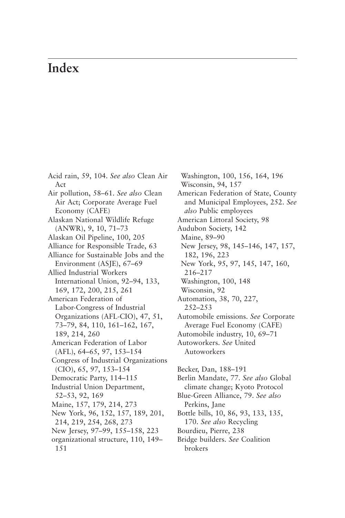## **Index**

Acid rain, 59, 104. *See also* Clean Air Act Air pollution, 58–61. *See also* Clean Air Act; Corporate Average Fuel Economy (CAFE) Alaskan National Wildlife Refuge (ANWR), 9, 10, 71–73 Alaskan Oil Pipeline, 100, 205 Alliance for Responsible Trade, 63 Alliance for Sustainable Jobs and the Environment (ASJE), 67–69 Allied Industrial Workers International Union, 92–94, 133, 169, 172, 200, 215, 261 American Federation of Labor-Congress of Industrial Organizations (AFL-CIO), 47, 51, 73–79, 84, 110, 161–162, 167, 189, 214, 260 American Federation of Labor (AFL), 64–65, 97, 153–154 Congress of Industrial Organizations (CIO), 65, 97, 153–154 Democratic Party, 114–115 Industrial Union Department, 52–53, 92, 169 Maine, 157, 179, 214, 273 New York, 96, 152, 157, 189, 201, 214, 219, 254, 268, 273 New Jersey, 97–99, 155–158, 223 organizational structure, 110, 149– 151

Washington, 100, 156, 164, 196 Wisconsin, 94, 157 [American Federation of State, County](#page--1-0) and Municipal Employees, 252. *See also* Public employees American Littoral Society, 98 Audubon Society, 142 Maine, 89–90 New Jersey, 98, 145–146, 147, 157, 182, 196, 223 New York, 95, 97, 145, 147, 160, 216–217 Washington, 100, 148 Wisconsin, 92 Automation, 38, 70, 227, 252–253 Automobile emissions. *See* Corporate Average Fuel Economy (CAFE) Automobile industry, 10, 69–71 Autoworkers. *See* United Autoworkers Becker, Dan, 188–191 Berlin Mandate, 77. *See also* Global climate change; Kyoto Protocol Blue-Green Alliance, 79. *See also* Perkins, Jane

Bottle bills, 10, 86, 93, 133, 135, 170. *See also* Recycling

- Bourdieu, Pierre, 238
- Bridge builders. *See* Coalition brokers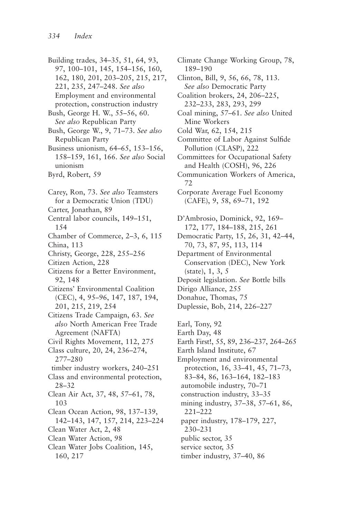Building trades, 34–35, 51, 64, 93, 97, 100–101, 145, 154–156, 160, 162, 180, 201, 203–205, 215, 217, 221, 235, 247–248. *See also* Employment and environmental protection, construction industry Bush, George H. W., 55–56, 60. *See also* Republican Party Bush, George W., 9, 71–73. *See also* Republican Party Business unionism, 64–65, 153–156, 158–159, 161, 166. *See also* Social unionism Byrd, Robert, 59 Carey, Ron, 73. *See also* Teamsters for a Democratic Union (TDU) Carter, Jonathan, 89 Central labor councils, 149–151, 154 Chamber of Commerce, 2–3, 6, 115 China, 113 Christy, George, 228, 255–256 Citizen Action, 228 Citizens for a Better Environment, 92, 148 Citizens' Environmental Coalition (CEC), 4, 95–96, 147, 187, 194, 201, 215, 219, 254 Citizens Trade Campaign, 63. *See also* North American Free Trade Agreement (NAFTA) Civil Rights Movement, 112, 275 Class culture, 20, 24, 236–274, 277–280 timber industry workers, 240–251 Class and environmental protection, 28–32 Clean Air Act, 37, 48, 57–61, 78, 103 Clean Ocean Action, 98, 137–139, 142–143, 147, 157, 214, 223–224 Clean Water Act, 2, 48 Clean Water Action, 98 Clean Water Jobs Coalition, 145, 160, 217

Climate Change Working Group, 78, 189–190

Clinton, Bill, 9, 56, 66, 78, 113. *See also* Democratic Party

Coalition brokers, 24, 206–225, 232–233, 283, 293, 299

Coal mining, 57–61. *See also* United Mine Workers

Cold War, 62, 154, 215

Committee of Labor Against Sulfide Pollution (CLASP), 222

Committees for Occupational Safety and Health (COSH), 96, 226

Communication Workers of America, 72

Corporate Average Fuel Economy (CAFE), 9, 58, 69–71, 192

D'Ambrosio, Dominick, 92, 169– 172, 177, 184–188, 215, 261

Democratic Party, 15, 26, 31, 42–44, 70, 73, 87, 95, 113, 114

Department of Environmental Conservation (DEC), New York (state), 1, 3, 5

Deposit legislation. *See* Bottle bills

Dirigo Alliance, 255

Donahue, Thomas, 75

Duplessie, Bob, 214, 226–227

Earl, Tony, 92

Earth Day, 48

Earth First!, 55, 89, 236–237, 264–265

Earth Island Institute, 67

Employment and environmental protection, 16, 33–41, 45, 71–73, 83–84, 86, 163–164, 182–183 automobile industry, 70–71 construction industry, 33–35 mining industry, 37–38, 57–61, 86, 221–222 paper industry, 178–179, 227, 230–231

public sector, 35

service sector, 35

timber industry, 37–40, 86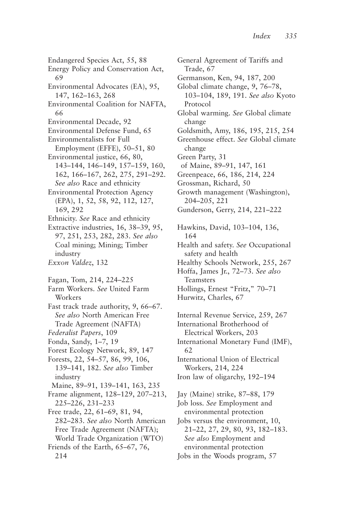Endangered Species Act, 55, 88 Energy Policy and Conservation Act, 69 Environmental Advocates (EA), 95, 147, 162–163, 268 Environmental Coalition for NAFTA, 66 Environmental Decade, 92 Environmental Defense Fund, 65 Environmentalists for Full Employment (EFFE), 50–51, 80 Environmental justice, 66, 80, 143–144, 146–149, 157–159, 160, 162, 166–167, 262, 275, 291–292. *See also* Race and ethnicity Environmental Protection Agency (EPA), 1, 52, 58, 92, 112, 127, 169, 292 Ethnicity. *See* Race and ethnicity Extractive industries, 16, 38–39, 95, 97, 251, 253, 282, 283. *See also* Coal mining; Mining; Timber industry *Exxon Valdez*, 132 Fagan, Tom, 214, 224–225 Farm Workers. *See* United Farm Workers Fast track trade authority, 9, 66–67. *See also* North American Free Trade Agreement (NAFTA) *Federalist Papers*, 109 Fonda, Sandy, 1–7, 19 Forest Ecology Network, 89, 147 Forests, 22, 54–57, 86, 99, 106, 139–141, 182. *See also* Timber industry Maine, 89–91, 139–141, 163, 235 Frame alignment, 128–129, 207–213, 225–226, 231–233 Free trade, 22, 61–69, 81, 94, 282–283. *See also* North American Free Trade Agreement (NAFTA); World Trade Organization (WTO) Friends of the Earth, 65–67, 76, 214

General Agreement of Tariffs and Trade, 67 Germanson, Ken, 94, 187, 200 Global climate change, 9, 76–78, 103–104, 189, 191. *See also* Kyoto Protocol Global warming. *See* Global climate change Goldsmith, Amy, 186, 195, 215, 254 Greenhouse effect. *See* Global climate change Green Party, 31 of Maine, 89–91, 147, 161 Greenpeace, 66, 186, 214, 224 Grossman, Richard, 50 Growth management (Washington), 204–205, 221 Gunderson, Gerry, 214, 221–222 Hawkins, David, 103–104, 136, 164 Health and safety. *See* Occupational safety and health Healthy Schools Network, 255, 267 Hoffa, James Jr., 72–73. *See also* Teamsters Hollings, Ernest "Fritz," 70–71 Hurwitz, Charles, 67 Internal Revenue Service, 259, 267 International Brotherhood of Electrical Workers, 203 International Monetary Fund (IMF), 62 International Union of Electrical Workers, 214, 224 Iron law of oligarchy, 192–194 Jay (Maine) strike, 87–88, 179 Job loss. *See* Employment and environmental protection Jobs versus the environment, 10, 21–22, 27, 29, 80, 93, 182–183. *See also* Employment and environmental protection Jobs in the Woods program, 57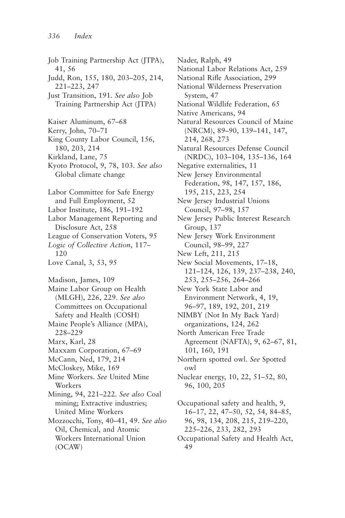Job Training Partnership Act (JTPA), 41, 56 Judd, Ron, 155, 180, 203–205, 214, 221–223, 247 Just Transition, 191. *See also* Job Training Partnership Act (JTPA) Kaiser Aluminum, 67–68 Kerry, John, 70–71 King County Labor Council, 156, 180, 203, 214 Kirkland, Lane, 75 Kyoto Protocol, 9, 78, 103. *See also* Global climate change Labor Committee for Safe Energy and Full Employment, 52 Labor Institute, 186, 191–192 Labor Management Reporting and Disclosure Act, 258 League of Conservation Voters, 95 *Logic of Collective Action*, 117– 120 Love Canal, 3, 53, 95 Madison, James, 109 Maine Labor Group on Health (MLGH), 226, 229. *See also* Committees on Occupational Safety and Health (COSH) Maine People's Alliance (MPA), 228–229 Marx, Karl, 28 Maxxam Corporation, 67–69 McCann, Ned, 179, 214 McCloskey, Mike, 169 Mine Workers. *See* United Mine Workers Mining, 94, 221–222. *See also* Coal mining; Extractive industries; United Mine Workers Mozzocchi, Tony, 40–41, 49. *See also* Oil, Chemical, and Atomic Workers International Union (OCAW)

Nader, Ralph, 49 National Labor Relations Act, 259 National Rifle Association, 299 National Wilderness Preservation System, 47 National Wildlife Federation, 65 Native Americans, 94 Natural Resources Council of Maine (NRCM), 89–90, 139–141, 147, 214, 268, 273 Natural Resources Defense Council (NRDC), 103–104, 135–136, 164 Negative externalities, 11 New Jersey Environmental Federation, 98, 147, 157, 186, 195, 215, 223, 254 New Jersey Industrial Unions Council, 97–98, 157 New Jersey Public Interest Research Group, 137 New Jersey Work Environment Council, 98–99, 227 New Left, 211, 215 New Social Movements, 17–18, 121–124, 126, 139, 237–238, 240, 253, 255–256, 264–266 New York State Labor and Environment Network, 4, 19, 96–97, 189, 192, 201, 219 NIMBY (Not In My Back Yard) organizations, 124, 262 North American Free Trade Agreement (NAFTA), 9, 62–67, 81, 101, 160, 191 Northern spotted owl. *See* Spotted owl Nuclear energy, 10, 22, 51–52, 80, 96, 100, 205 Occupational safety and health, 9, 16–17, 22, 47–50, 52, 54, 84–85, 96, 98, 134, 208, 215, 219–220, 225–226, 233, 282, 293

Occupational Safety and Health Act, 49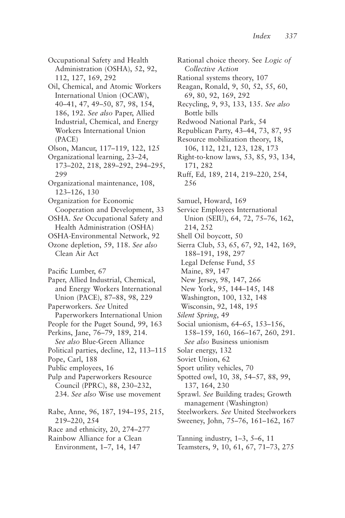Occupational Safety and Health Administration (OSHA), 52, 92, 112, 127, 169, 292

- Oil, Chemical, and Atomic Workers International Union (OCAW), 40–41, 47, 49–50, 87, 98, 154, 186, 192. *See also* Paper, Allied Industrial, Chemical, and Energy Workers International Union (PACE)
- Olson, Mancur, 117–119, 122, 125
- Organizational learning, 23–24, 173–202, 218, 289–292, 294–295, 299
- Organizational maintenance, 108, 123–126, 130
- Organization for Economic Cooperation and Development, 33
- OSHA. *See* Occupational Safety and Health Administration (OSHA)
- OSHA-Environmental Network, 92 Ozone depletion, 59, 118. *See also*
- Clean Air Act
- Pacific Lumber, 67
- Paper, Allied Industrial, Chemical, and Energy Workers International Union (PACE), 87–88, 98, 229
- Paperworkers. *See* United Paperworkers International Union
- People for the Puget Sound, 99, 163
- Perkins, Jane, 76–79, 189, 214.
- *See also* Blue-Green Alliance Political parties, decline, 12, 113–115
- Pope, Carl, 188
- Public employees, 16
- Pulp and Paperworkers Resource Council (PPRC), 88, 230–232, 234. *See also* Wise use movement
- Rabe, Anne, 96, 187, 194–195, 215, 219–220, 254 Race and ethnicity, 20, 274–277 Rainbow Alliance for a Clean
- Environment, 1–7, 14, 147

Rational choice theory. See *Logic of Collective Action* Rational systems theory, 107 Reagan, Ronald, 9, 50, 52, 55, 60, 69, 80, 92, 169, 292 Recycling, 9, 93, 133, 135. *See also* Bottle bills Redwood National Park, 54 Republican Party, 43–44, 73, 87, 95 Resource mobilization theory, 18, 106, 112, 121, 123, 128, 173 Right-to-know laws, 53, 85, 93, 134, 171, 282 Ruff, Ed, 189, 214, 219–220, 254, 256 Samuel, Howard, 169 Service Employees International Union (SEIU), 64, 72, 75–76, 162, 214, 252 Shell Oil boycott, 50 Sierra Club, 53, 65, 67, 92, 142, 169, 188–191, 198, 297 Legal Defense Fund, 55 Maine, 89, 147 New Jersey, 98, 147, 266 New York, 95, 144–145, 148 Washington, 100, 132, 148 Wisconsin, 92, 148, 195 *Silent Spring*, 49 Social unionism, 64–65, 153–156, 158–159, 160, 166–167, 260, 291. *See also* Business unionism Solar energy, 132 Soviet Union, 62 Sport utility vehicles, 70 Spotted owl, 10, 38, 54–57, 88, 99, 137, 164, 230 Sprawl. *See* Building trades; Growth management (Washington) Steelworkers. *See* United Steelworkers Sweeney, John, 75–76, 161–162, 167

Tanning industry, 1–3, 5–6, 11 Teamsters, 9, 10, 61, 67, 71–73, 275